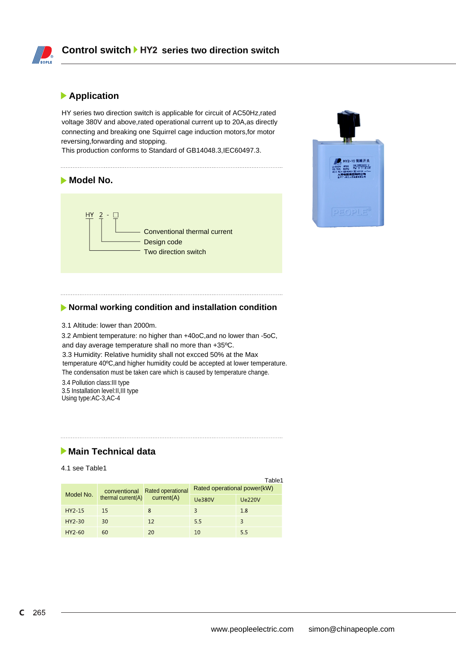

### **Application**

HY series two direction switch is applicable for circuit of AC50Hz,rated voltage 380V and above,rated operational current up to 20A,as directly connecting and breaking one Squirrel cage induction motors,for motor reversing,forwarding and stopping.

This production conforms to Standard of GB14048.3,IEC60497.3.

# **Model No.** HY  $\overline{2}$ Conventional thermal current Design code Two direction switch



#### **Normal working condition and installation condition**

3.1 Altitude: lower than 2000m.

3.2 Ambient temperature: no higher than +40oC,and no lower than -5oC, and day average temperature shall no more than +35ºC. 3.3 Humidity: Relative humidity shall not excced 50% at the Max

temperature 40ºC,and higher humidity could be accepted at lower temperature. The condensation must be taken care which is caused by temperature change.

3.4 Pollution class:III type 3.5 Installation level:II,III type Using type:AC-3,AC-4

# **Main Technical data**

4.1 see Table1

|           |                                       |                                        |                             | Table1        |
|-----------|---------------------------------------|----------------------------------------|-----------------------------|---------------|
| Model No. | conventional<br>thermal current $(A)$ | <b>Rated operational</b><br>current(A) | Rated operational power(kW) |               |
|           |                                       |                                        | <b>Ue380V</b>               | <b>Ue220V</b> |
| $HY2-15$  | 15                                    | 8                                      |                             | 1.8           |
| $HY2-30$  | 30                                    | 12                                     | 5.5                         | 3             |
| $HY2-60$  | 60                                    | 20                                     | 10                          | 55            |